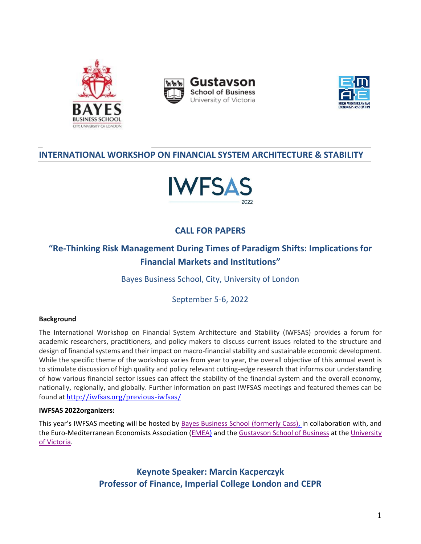





# **INTERNATIONAL WORKSHOP ON FINANCIAL SYSTEM ARCHITECTURE & STABILITY**



# **CALL FOR PAPERS**

# **"Re-Thinking Risk Management During Times of Paradigm Shifts: Implications for Financial Markets and Institutions"**

Bayes Business School, City, University of London

September 5-6, 2022

# **Background**

The International Workshop on Financial System Architecture and Stability (IWFSAS) provides a forum for academic researchers, practitioners, and policy makers to discuss current issues related to the structure and design of financial systems and their impact on macro-financial stability and sustainable economic development. While the specific theme of the workshop varies from year to year, the overall objective of this annual event is to stimulate discussion of high quality and policy relevant cutting-edge research that informs our understanding of how various financial sector issues can affect the stability of the financial system and the overall economy, nationally, regionally, and globally. Further information on past IWFSAS meetings and featured themes can be found at <http://iwfsas.org/previous-iwfsas/>

# **IWFSAS 2022organizers:**

This year's IWFSAS meeting will be hosted by [Bayes Business School \(formerly Cass\),](https://www.cass.city.ac.uk/) in collaboration with, and the Euro-Mediterranean Economists Association [\(EMEA\)](https://www.euromed-economists.org/) and th[e Gustavson School of Business](https://www.uvic.ca/gustavson/) at the University [of Victoria.](https://www.uvic.ca/)

> **Keynote Speaker: Marcin Kacperczyk Professor of Finance, Imperial College London and CEPR**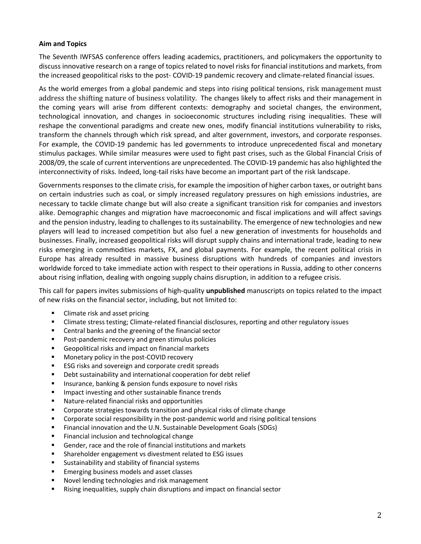# **Aim and Topics**

The Seventh IWFSAS conference offers leading academics, practitioners, and policymakers the opportunity to discuss innovative research on a range of topics related to novel risks for financial institutions and markets, from the increased geopolitical risks to the post- COVID-19 pandemic recovery and climate-related financial issues.

As the world emerges from a global pandemic and steps into rising political tensions, risk management must address the shifting nature of business volatility. The changes likely to affect risks and their management in the coming years will arise from different contexts: demography and societal changes, the environment, technological innovation, and changes in socioeconomic structures including rising inequalities. These will reshape the conventional paradigms and create new ones, modify financial institutions vulnerability to risks, transform the channels through which risk spread, and alter government, investors, and corporate responses. For example, the COVID-19 pandemic has led governments to introduce unprecedented fiscal and monetary stimulus packages. While similar measures were used to fight past crises, such as the Global Financial Crisis of 2008/09, the scale of current interventions are unprecedented. The COVID-19 pandemic has also highlighted the interconnectivity of risks. Indeed, long-tail risks have become an important part of the risk landscape.

Governments responses to the climate crisis, for example the imposition of higher carbon taxes, or outright bans on certain industries such as coal, or simply increased regulatory pressures on high emissions industries, are necessary to tackle climate change but will also create a significant transition risk for companies and investors alike. Demographic changes and migration have macroeconomic and fiscal implications and will affect savings and the pension industry, leading to challenges to its sustainability. The emergence of new technologies and new players will lead to increased competition but also fuel a new generation of investments for households and businesses. Finally, increased geopolitical risks will disrupt supply chains and international trade, leading to new risks emerging in commodities markets, FX, and global payments. For example, the recent political crisis in Europe has already resulted in massive business disruptions with hundreds of companies and investors worldwide forced to take immediate action with respect to their operations in Russia, adding to other concerns about rising inflation, dealing with ongoing supply chains disruption, in addition to a refugee crisis.

This call for papers invites submissions of high-quality **unpublished** manuscripts on topics related to the impact of new risks on the financial sector, including, but not limited to:

- Climate risk and asset pricing
- **EXECT** Climate stress testing; Climate-related financial disclosures, reporting and other regulatory issues
- Central banks and the greening of the financial sector
- Post-pandemic recovery and green stimulus policies
- Geopolitical risks and impact on financial markets
- Monetary policy in the post-COVID recovery
- ESG risks and sovereign and corporate credit spreads
- Debt sustainability and international cooperation for debt relief
- Insurance, banking & pension funds exposure to novel risks
- Impact investing and other sustainable finance trends
- Nature-related financial risks and opportunities
- Corporate strategies towards transition and physical risks of climate change
- Corporate social responsibility in the post-pandemic world and rising political tensions
- Financial innovation and the U.N. Sustainable Development Goals (SDGs)
- Financial inclusion and technological change
- Gender, race and the role of financial institutions and markets
- Shareholder engagement vs divestment related to ESG issues
- Sustainability and stability of financial systems
- Emerging business models and asset classes
- Novel lending technologies and risk management
- Rising inequalities, supply chain disruptions and impact on financial sector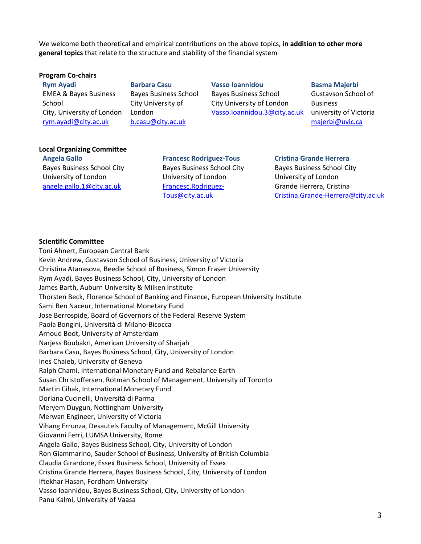We welcome both theoretical and empirical contributions on the above topics, **in addition to other more general topics** that relate to the structure and stability of the financial system

#### **Program Co-chairs**

**Rym Ayadi** EMEA & Bayes Business School City, University of London [rym.ayadi@city.ac.uk](mailto:rym.ayadi@hec.ca) 

**Barbara Casu** Bayes Business School City University of London [b.casu@city.ac.uk](mailto:b.casu@city.ac.uk)

**Vasso Ioannidou** Bayes Business School City University of London Vasso.Ioannidou.3@city.ac.uk

**Basma Majerbi** Gustavson School of Business university of Victoria [majerbi@uvic.ca](mailto:majerbi@uvic.ca)

#### **Local Organizing Committee**

**Angela Gallo** Bayes Business School City University of London [angela.gallo.1@city.ac.uk](mailto:angela.gallo.1@city.ac.uk)

**Francesc Rodriguez-Tous** Bayes Business School City University of London [Francesc.Rodriguez-](mailto:Francesc.Rodriguez-Tous@city.ac.uk)[Tous@city.ac.uk](mailto:Francesc.Rodriguez-Tous@city.ac.uk)

#### **Cristina Grande Herrera**

Bayes Business School City University of London Grande Herrera, Cristina [Cristina.Grande-Herrera@city.ac.uk](mailto:Cristina.Grande-Herrera@city.ac.uk)

## **Scientific Committee**

Toni Ahnert, European Central Bank Kevin Andrew, Gustavson School of Business, University of Victoria Christina Atanasova, Beedie School of Business, Simon Fraser University Rym Ayadi, Bayes Business School, City, University of London James Barth, Auburn University & Milken Institute Thorsten Beck, Florence School of Banking and Finance, European University Institute Sami Ben Naceur, International Monetary Fund Jose Berrospide, Board of Governors of the Federal Reserve System Paola Bongini, Università di Milano-Bicocca Arnoud Boot, University of Amsterdam Narjess Boubakri, American University of Sharjah Barbara Casu, Bayes Business School, City, University of London Ines Chaieb, University of Geneva Ralph Chami, International Monetary Fund and Rebalance Earth Susan Christoffersen, Rotman School of Management, University of Toronto Martin Cihak, International Monetary Fund Doriana Cucinelli, Università di Parma Meryem Duygun, Nottingham University Merwan Engineer, University of Victoria Vihang Errunza, Desautels Faculty of Management, McGill University Giovanni Ferri, LUMSA University, Rome Angela Gallo, Bayes Business School, City, University of London Ron Giammarino, Sauder School of Business, University of British Columbia Claudia Girardone, Essex Business School, University of Essex Cristina Grande Herrera, Bayes Business School, City, University of London Iftekhar Hasan, Fordham University Vasso Ioannidou, Bayes Business School, City, University of London Panu Kalmi, University of Vaasa